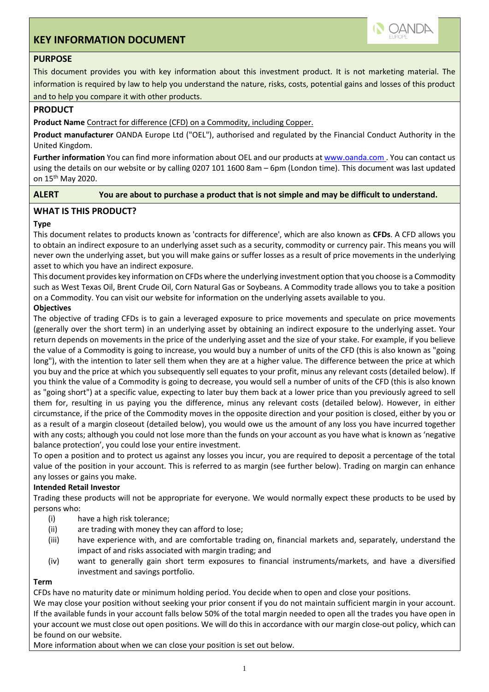# **KEY INFORMATION DOCUMENT**



## **PURPOSE**

This document provides you with key information about this investment product. It is not marketing material. The information is required by law to help you understand the nature, risks, costs, potential gains and losses of this product and to help you compare it with other products.

## **PRODUCT**

**Product Name** Contract for difference (CFD) on a Commodity, including Copper.

**Product manufacturer** OANDA Europe Ltd ("OEL"), authorised and regulated by the Financial Conduct Authority in the United Kingdom.

Further information You can find more information about OEL and our products at www.oanda.com. You can contact us using the details on our website or by calling 0207 101 1600 8am – 6pm (London time). This document was last updated on 15th May 2020.

**ALERT You are about to purchase a product that is not simple and may be difficult to understand.**

## **WHAT IS THIS PRODUCT?**

## **Type**

This document relates to products known as 'contracts for difference', which are also known as **CFDs**. A CFD allows you to obtain an indirect exposure to an underlying asset such as a security, commodity or currency pair. This means you will never own the underlying asset, but you will make gains or suffer losses as a result of price movements in the underlying asset to which you have an indirect exposure.

This document provides key information on CFDs where the underlying investment option that you choose is a Commodity such as West Texas Oil, Brent Crude Oil, Corn Natural Gas or Soybeans. A Commodity trade allows you to take a position on a Commodity. You can visit our website for information on the underlying assets available to you.

#### **Objectives**

The objective of trading CFDs is to gain a leveraged exposure to price movements and speculate on price movements (generally over the short term) in an underlying asset by obtaining an indirect exposure to the underlying asset. Your return depends on movements in the price of the underlying asset and the size of your stake. For example, if you believe the value of a Commodity is going to increase, you would buy a number of units of the CFD (this is also known as "going long"), with the intention to later sell them when they are at a higher value. The difference between the price at which you buy and the price at which you subsequently sell equates to your profit, minus any relevant costs (detailed below). If you think the value of a Commodity is going to decrease, you would sell a number of units of the CFD (this is also known as "going short") at a specific value, expecting to later buy them back at a lower price than you previously agreed to sell them for, resulting in us paying you the difference, minus any relevant costs (detailed below). However, in either circumstance, if the price of the Commodity moves in the opposite direction and your position is closed, either by you or as a result of a margin closeout (detailed below), you would owe us the amount of any loss you have incurred together with any costs; although you could not lose more than the funds on your account as you have what is known as 'negative balance protection', you could lose your entire investment.

To open a position and to protect us against any losses you incur, you are required to deposit a percentage of the total value of the position in your account. This is referred to as margin (see further below). Trading on margin can enhance any losses or gains you make.

## **Intended Retail Investor**

Trading these products will not be appropriate for everyone. We would normally expect these products to be used by persons who:

- (i) have a high risk tolerance;
- (ii) are trading with money they can afford to lose;
- (iii) have experience with, and are comfortable trading on, financial markets and, separately, understand the impact of and risks associated with margin trading; and
- (iv) want to generally gain short term exposures to financial instruments/markets, and have a diversified investment and savings portfolio.

## **Term**

CFDs have no maturity date or minimum holding period. You decide when to open and close your positions.

We may close your position without seeking your prior consent if you do not maintain sufficient margin in your account. If the available funds in your account falls below 50% of the total margin needed to open all the trades you have open in your account we must close out open positions. We will do this in accordance with our margin close-out policy, which can be found on our website.

More information about when we can close your position is set out below.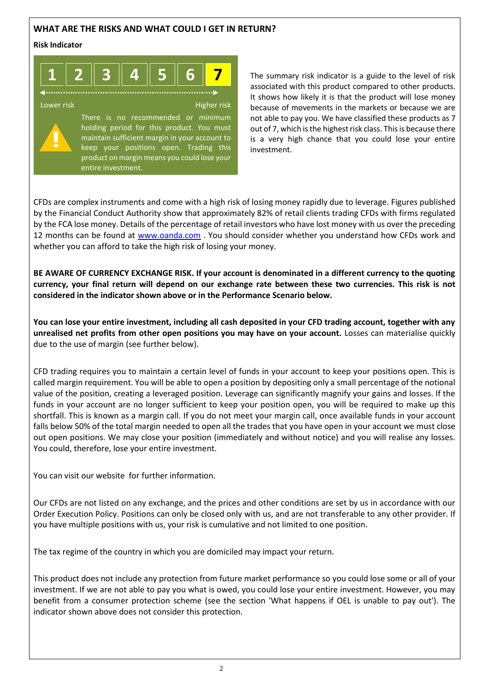## **WHAT ARE THE RISKS AND WHAT COULD I GET IN RETURN?**

#### **Risk Indicator**



The summary risk indicator is a guide to the level of risk associated with this product compared to other products. It shows how likely it is that the product will lose money because of movements in the markets or because we are not able to pay you. We have classified these products as 7 out of 7, which is the highest risk class. This is because there is a very high chance that you could lose your entire investment.

CFDs are complex instruments and come with a high risk of losing money rapidly due to leverage. Figures published by the Financial Conduct Authority show that approximately 82% of retail clients trading CFDs with firms regulated by the FCA lose money. Details of the percentage of retail investors who have lost money with us over the preceding 12 months can be found at [www.oanda.com](http://www.oanda.com/) . You should consider whether you understand how CFDs work and whether you can afford to take the high risk of losing your money.

**BE AWARE OF CURRENCY EXCHANGE RISK. If your account is denominated in a different currency to the quoting currency, your final return will depend on our exchange rate between these two currencies. This risk is not considered in the indicator shown above or in the Performance Scenario below.**

**You can lose your entire investment, including all cash deposited in your CFD trading account, together with any unrealised net profits from other open positions you may have on your account.** Losses can materialise quickly due to the use of margin (see further below).

CFD trading requires you to maintain a certain level of funds in your account to keep your positions open. This is called margin requirement. You will be able to open a position by depositing only a small percentage of the notional value of the position, creating a leveraged position. Leverage can significantly magnify your gains and losses. If the funds in your account are no longer sufficient to keep your position open, you will be required to make up this shortfall. This is known as a margin call. If you do not meet your margin call, once available funds in your account falls below 50% of the total margin needed to open all the trades that you have open in your account we must close out open positions. We may close your position (immediately and without notice) and you will realise any losses. You could, therefore, lose your entire investment.

You can visit our website for further information.

Our CFDs are not listed on any exchange, and the prices and other conditions are set by us in accordance with our Order Execution Policy. Positions can only be closed only with us, and are not transferable to any other provider. If you have multiple positions with us, your risk is cumulative and not limited to one position.

The tax regime of the country in which you are domiciled may impact your return.

This product does not include any protection from future market performance so you could lose some or all of your investment. If we are not able to pay you what is owed, you could lose your entire investment. However, you may benefit from a consumer protection scheme (see the section 'What happens if OEL is unable to pay out'). The indicator shown above does not consider this protection.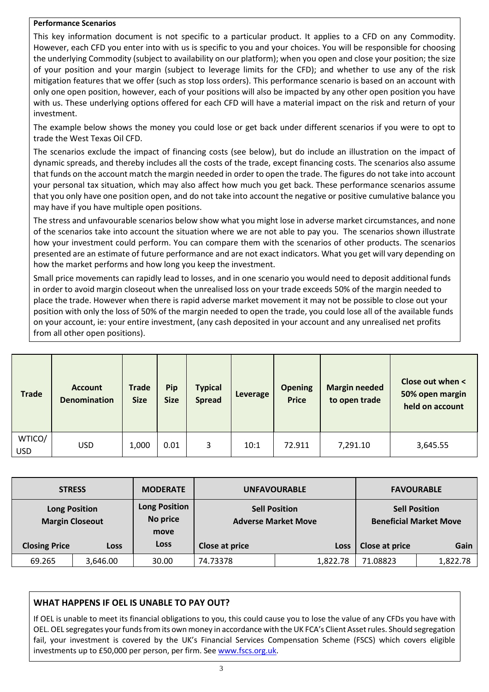#### **Performance Scenarios**

This key information document is not specific to a particular product. It applies to a CFD on any Commodity. However, each CFD you enter into with us is specific to you and your choices. You will be responsible for choosing the underlying Commodity (subject to availability on our platform); when you open and close your position; the size of your position and your margin (subject to leverage limits for the CFD); and whether to use any of the risk mitigation features that we offer (such as stop loss orders). This performance scenario is based on an account with only one open position, however, each of your positions will also be impacted by any other open position you have with us. These underlying options offered for each CFD will have a material impact on the risk and return of your investment.

The example below shows the money you could lose or get back under different scenarios if you were to opt to trade the West Texas Oil CFD.

The scenarios exclude the impact of financing costs (see below), but do include an illustration on the impact of dynamic spreads, and thereby includes all the costs of the trade, except financing costs. The scenarios also assume that funds on the account match the margin needed in order to open the trade. The figures do not take into account your personal tax situation, which may also affect how much you get back. These performance scenarios assume that you only have one position open, and do not take into account the negative or positive cumulative balance you may have if you have multiple open positions.

The stress and unfavourable scenarios below show what you might lose in adverse market circumstances, and none of the scenarios take into account the situation where we are not able to pay you. The scenarios shown illustrate how your investment could perform. You can compare them with the scenarios of other products. The scenarios presented are an estimate of future performance and are not exact indicators. What you get will vary depending on how the market performs and how long you keep the investment.

Small price movements can rapidly lead to losses, and in one scenario you would need to deposit additional funds in order to avoid margin closeout when the unrealised loss on your trade exceeds 50% of the margin needed to place the trade. However when there is rapid adverse market movement it may not be possible to close out your position with only the loss of 50% of the margin needed to open the trade, you could lose all of the available funds on your account, ie: your entire investment, (any cash deposited in your account and any unrealised net profits from all other open positions).

| <b>Trade</b>  | <b>Account</b><br><b>Denomination</b> | <b>Trade</b><br><b>Size</b> | Pip<br><b>Size</b> | <b>Typical</b><br><b>Spread</b> | Leverage | <b>Opening</b><br><b>Price</b> | <b>Margin needed</b><br>to open trade | Close out when <<br>50% open margin<br>held on account |
|---------------|---------------------------------------|-----------------------------|--------------------|---------------------------------|----------|--------------------------------|---------------------------------------|--------------------------------------------------------|
| WTICO/<br>USD | <b>USD</b>                            | 1,000                       | 0.01               | 3                               | 10:1     | 72.911                         | 7,291.10                              | 3,645.55                                               |

| <b>STRESS</b>        |                        | <b>MODERATE</b>                          |                                                    | <b>UNFAVOURABLE</b> | <b>FAVOURABLE</b>                                     |          |  |
|----------------------|------------------------|------------------------------------------|----------------------------------------------------|---------------------|-------------------------------------------------------|----------|--|
| <b>Long Position</b> | <b>Margin Closeout</b> | <b>Long Position</b><br>No price<br>move | <b>Sell Position</b><br><b>Adverse Market Move</b> |                     | <b>Sell Position</b><br><b>Beneficial Market Move</b> |          |  |
| <b>Closing Price</b> | <b>Loss</b>            | <b>Loss</b>                              | Close at price                                     | Loss                | Close at price                                        | Gain     |  |
| 69.265               | 3,646.00               | 30.00                                    | 74.73378                                           | 1,822.78            | 71.08823                                              | 1,822.78 |  |

## **WHAT HAPPENS IF OEL IS UNABLE TO PAY OUT?**

If OEL is unable to meet its financial obligations to you, this could cause you to lose the value of any CFDs you have with OEL. OEL segregates your funds from its own money in accordance with the UK FCA's Client Asset rules. Should segregation fail, your investment is covered by the UK's Financial Services Compensation Scheme (FSCS) which covers eligible investments up to £50,000 per person, per firm. Se[e www.fscs.org.uk.](http://www.fscs.org.uk/)